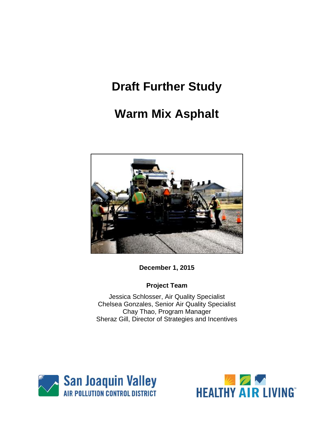# **Draft Further Study**

# **Warm Mix Asphalt**



**December 1, 2015**

# **Project Team**

Jessica Schlosser, Air Quality Specialist Chelsea Gonzales, Senior Air Quality Specialist Chay Thao, Program Manager Sheraz Gill, Director of Strategies and Incentives



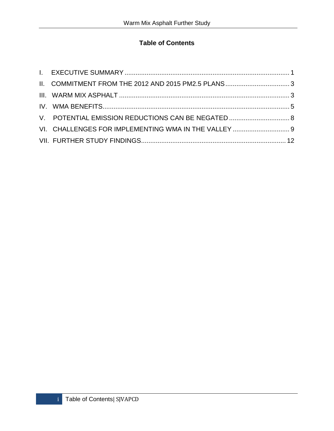# **Table of Contents**

| V. POTENTIAL EMISSION REDUCTIONS CAN BE NEGATED  8   |  |
|------------------------------------------------------|--|
| VI. CHALLENGES FOR IMPLEMENTING WMA IN THE VALLEY  9 |  |
|                                                      |  |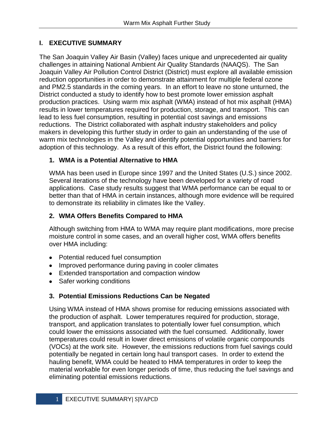# **I. EXECUTIVE SUMMARY**

The San Joaquin Valley Air Basin (Valley) faces unique and unprecedented air quality challenges in attaining National Ambient Air Quality Standards (NAAQS). The San Joaquin Valley Air Pollution Control District (District) must explore all available emission reduction opportunities in order to demonstrate attainment for multiple federal ozone and PM2.5 standards in the coming years. In an effort to leave no stone unturned, the District conducted a study to identify how to best promote lower emission asphalt production practices. Using warm mix asphalt (WMA) instead of hot mix asphalt (HMA) results in lower temperatures required for production, storage, and transport. This can lead to less fuel consumption, resulting in potential cost savings and emissions reductions. The District collaborated with asphalt industry stakeholders and policy makers in developing this further study in order to gain an understanding of the use of warm mix technologies in the Valley and identify potential opportunities and barriers for adoption of this technology. As a result of this effort, the District found the following:

# **1. WMA is a Potential Alternative to HMA**

WMA has been used in Europe since 1997 and the United States (U.S.) since 2002. Several iterations of the technology have been developed for a variety of road applications. Case study results suggest that WMA performance can be equal to or better than that of HMA in certain instances, although more evidence will be required to demonstrate its reliability in climates like the Valley.

# **2. WMA Offers Benefits Compared to HMA**

Although switching from HMA to WMA may require plant modifications, more precise moisture control in some cases, and an overall higher cost, WMA offers benefits over HMA including:

- Potential reduced fuel consumption
- Improved performance during paving in cooler climates
- Extended transportation and compaction window
- Safer working conditions

# **3. Potential Emissions Reductions Can be Negated**

Using WMA instead of HMA shows promise for reducing emissions associated with the production of asphalt. Lower temperatures required for production, storage, transport, and application translates to potentially lower fuel consumption, which could lower the emissions associated with the fuel consumed. Additionally, lower temperatures could result in lower direct emissions of volatile organic compounds (VOCs) at the work site. However, the emissions reductions from fuel savings could potentially be negated in certain long haul transport cases. In order to extend the hauling benefit, WMA could be heated to HMA temperatures in order to keep the material workable for even longer periods of time, thus reducing the fuel savings and eliminating potential emissions reductions.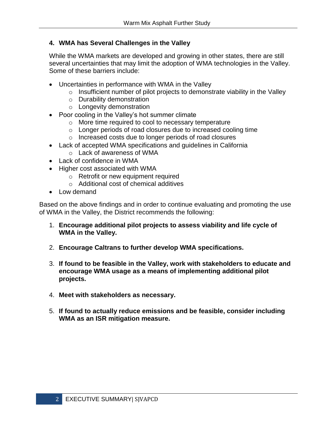## **4. WMA has Several Challenges in the Valley**

While the WMA markets are developed and growing in other states, there are still several uncertainties that may limit the adoption of WMA technologies in the Valley. Some of these barriers include:

- Uncertainties in performance with WMA in the Valley
	- $\circ$  Insufficient number of pilot projects to demonstrate viability in the Valley
	- o Durability demonstration
	- o Longevity demonstration
- Poor cooling in the Valley's hot summer climate
	- o More time required to cool to necessary temperature
	- o Longer periods of road closures due to increased cooling time
	- o Increased costs due to longer periods of road closures
- Lack of accepted WMA specifications and guidelines in California
	- o Lack of awareness of WMA
- Lack of confidence in WMA
- Higher cost associated with WMA
	- o Retrofit or new equipment required
	- o Additional cost of chemical additives
- Low demand

Based on the above findings and in order to continue evaluating and promoting the use of WMA in the Valley, the District recommends the following:

- 1. **Encourage additional pilot projects to assess viability and life cycle of WMA in the Valley.**
- 2. **Encourage Caltrans to further develop WMA specifications.**
- 3. **If found to be feasible in the Valley, work with stakeholders to educate and encourage WMA usage as a means of implementing additional pilot projects.**
- 4. **Meet with stakeholders as necessary.**
- 5. **If found to actually reduce emissions and be feasible, consider including WMA as an ISR mitigation measure.**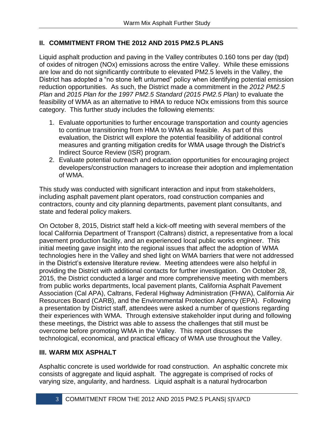## **II. COMMITMENT FROM THE 2012 AND 2015 PM2.5 PLANS**

Liquid asphalt production and paving in the Valley contributes 0.160 tons per day (tpd) of oxides of nitrogen (NOx) emissions across the entire Valley. While these emissions are low and do not significantly contribute to elevated PM2.5 levels in the Valley, the District has adopted a "no stone left unturned" policy when identifying potential emission reduction opportunities. As such, the District made a commitment in the *2012 PM2.5 Plan* and *2015 Plan for the 1997 PM2.5 Standard (2015 PM2.5 Plan)* to evaluate the feasibility of WMA as an alternative to HMA to reduce NOx emissions from this source category. This further study includes the following elements:

- 1. Evaluate opportunities to further encourage transportation and county agencies to continue transitioning from HMA to WMA as feasible. As part of this evaluation, the District will explore the potential feasibility of additional control measures and granting mitigation credits for WMA usage through the District's Indirect Source Review (ISR) program.
- 2. Evaluate potential outreach and education opportunities for encouraging project developers/construction managers to increase their adoption and implementation of WMA.

This study was conducted with significant interaction and input from stakeholders, including asphalt pavement plant operators, road construction companies and contractors, county and city planning departments, pavement plant consultants, and state and federal policy makers.

On October 8, 2015, District staff held a kick-off meeting with several members of the local California Department of Transport (Caltrans) district, a representative from a local pavement production facility, and an experienced local public works engineer. This initial meeting gave insight into the regional issues that affect the adoption of WMA technologies here in the Valley and shed light on WMA barriers that were not addressed in the District's extensive literature review. Meeting attendees were also helpful in providing the District with additional contacts for further investigation. On October 28, 2015, the District conducted a larger and more comprehensive meeting with members from public works departments, local pavement plants, California Asphalt Pavement Association (Cal APA), Caltrans, Federal Highway Administration (FHWA), California Air Resources Board (CARB), and the Environmental Protection Agency (EPA). Following a presentation by District staff, attendees were asked a number of questions regarding their experiences with WMA. Through extensive stakeholder input during and following these meetings, the District was able to assess the challenges that still must be overcome before promoting WMA in the Valley. This report discusses the technological, economical, and practical efficacy of WMA use throughout the Valley.

#### **III. WARM MIX ASPHALT**

Asphaltic concrete is used worldwide for road construction. An asphaltic concrete mix consists of aggregate and liquid asphalt. The aggregate is comprised of rocks of varying size, angularity, and hardness. Liquid asphalt is a natural hydrocarbon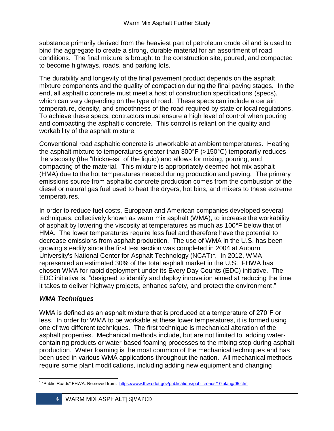substance primarily derived from the heaviest part of petroleum crude oil and is used to bind the aggregate to create a strong, durable material for an assortment of road conditions. The final mixture is brought to the construction site, poured, and compacted to become highways, roads, and parking lots.

The durability and longevity of the final pavement product depends on the asphalt mixture components and the quality of compaction during the final paving stages. In the end, all asphaltic concrete must meet a host of construction specifications (specs), which can vary depending on the type of road. These specs can include a certain temperature, density, and smoothness of the road required by state or local regulations. To achieve these specs, contractors must ensure a high level of control when pouring and compacting the asphaltic concrete. This control is reliant on the quality and workability of the asphalt mixture.

Conventional road asphaltic concrete is unworkable at ambient temperatures. Heating the asphalt mixture to temperatures greater than 300°F (>150°C) temporarily reduces the viscosity (the "thickness" of the liquid) and allows for mixing, pouring, and compacting of the material. This mixture is appropriately deemed hot mix asphalt (HMA) due to the hot temperatures needed during production and paving. The primary emissions source from asphaltic concrete production comes from the combustion of the diesel or natural gas fuel used to heat the dryers, hot bins, and mixers to these extreme temperatures.

In order to reduce fuel costs, European and American companies developed several techniques, collectively known as warm mix asphalt (WMA), to increase the workability of asphalt by lowering the viscosity at temperatures as much as 100°F below that of HMA. The lower temperatures require less fuel and therefore have the potential to decrease emissions from asphalt production. The use of WMA in the U.S. has been growing steadily since the first test section was completed in 2004 at Auburn University's National Center for Asphalt Technology (NCAT)<sup>1</sup>. In 2012, WMA represented an estimated 30% of the total asphalt market in the U.S. FHWA has chosen WMA for rapid deployment under its Every Day Counts (EDC) initiative. The EDC initiative is, "designed to identify and deploy innovation aimed at reducing the time it takes to deliver highway projects, enhance safety, and protect the environment."

# *WMA Techniques*

WMA is defined as an asphalt mixture that is produced at a temperature of 270˚F or less. In order for WMA to be workable at these lower temperatures, it is formed using one of two different techniques. The first technique is mechanical alteration of the asphalt properties. Mechanical methods include, but are not limited to, adding watercontaining products or water-based foaming processes to the mixing step during asphalt production. Water foaming is the most common of the mechanical techniques and has been used in various WMA applications throughout the nation. All mechanical methods require some plant modifications, including adding new equipment and changing

 $\overline{\phantom{0}}$ <sup>1</sup> "Public Roads" FHWA. Retrieved from: <https://www.fhwa.dot.gov/publications/publicroads/10julaug/05.cfm>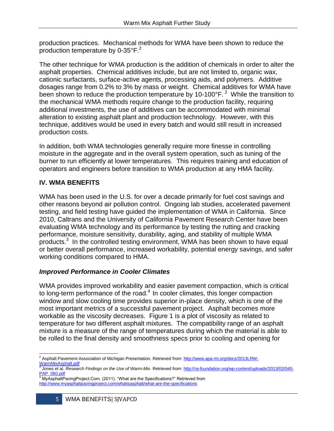production practices. Mechanical methods for WMA have been shown to reduce the production temperature by 0-35 $\mathrm{P}$ .<sup>2</sup>

The other technique for WMA production is the addition of chemicals in order to alter the asphalt properties. Chemical additives include, but are not limited to, organic wax, cationic surfactants, surface-active agents, processing aids, and polymers. Additive dosages range from 0.2% to 3% by mass or weight. Chemical additives for WMA have been shown to reduce the production temperature by  $10-100^{\circ}F$ . <sup>2</sup> While the transition to the mechanical WMA methods require change to the production facility, requiring additional investments, the use of additives can be accommodated with minimal alteration to existing asphalt plant and production technology. However, with this technique, additives would be used in every batch and would still result in increased production costs.

In addition, both WMA technologies generally require more finesse in controlling moisture in the aggregate and in the overall system operation, such as tuning of the burner to run efficiently at lower temperatures. This requires training and education of operators and engineers before transition to WMA production at any HMA facility.

## **IV. WMA BENEFITS**

WMA has been used in the U.S. for over a decade primarily for fuel cost savings and other reasons beyond air pollution control. Ongoing lab studies, accelerated pavement testing, and field testing have guided the implementation of WMA in California. Since 2010, Caltrans and the University of California Pavement Research Center have been evaluating WMA technology and its performance by testing the rutting and cracking performance, moisture sensitivity, durability, aging, and stability of multiple WMA products.<sup>3</sup> In the controlled testing environment, WMA has been shown to have equal or better overall performance, increased workability, potential energy savings, and safer working conditions compared to HMA.

#### *Improved Performance in Cooler Climates*

WMA provides improved workability and easier pavement compaction, which is critical to long-term performance of the road.<sup>4</sup> In cooler climates, this longer compaction window and slow cooling time provides superior in-place density, which is one of the most important metrics of a successful pavement project. Asphalt becomes more workable as the viscosity decreases. Figure 1 is a plot of viscosity as related to temperature for two different asphalt mixtures. The compatibility range of an asphalt mixture is a measure of the range of temperatures during which the material is able to be rolled to the final density and smoothness specs prior to cooling and opening for

l <sup>2</sup> Asphalt Pavement Association of Michigan Presentation. Retrieved from[: http://www.apa-mi.org/docs/2013LRW-](http://www.apa-mi.org/docs/2013LRW-WarmMixAsphalt.pdf)[WarmMixAsphalt.pdf](http://www.apa-mi.org/docs/2013LRW-WarmMixAsphalt.pdf)

<sup>&</sup>lt;sup>3</sup> Jones et al. *Research Findings on the Use of Warm-Mix.* Retrieved from[: http://ra-foundation.org/wp-content/uploads/2013/02/040-](http://ra-foundation.org/wp-content/uploads/2013/02/040-PAP_060.pdf) <u>[PAP\\_060.pdf](http://ra-foundation.org/wp-content/uploads/2013/02/040-PAP_060.pdf)</u><br><sup>4</sup> MyAsphaltPavingProject.Com. (2011). "What are the Specifications?" Retrieved from

<http://www.myasphaltpavingproject.com/whatisasphalt/what-are-the-specifications>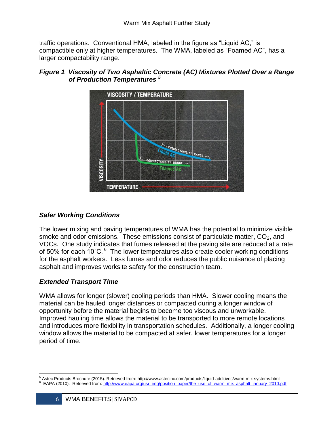traffic operations. Conventional HMA, labeled in the figure as "Liquid AC," is compactible only at higher temperatures. The WMA, labeled as "Foamed AC", has a larger compactability range.



# *Figure 1 Viscosity of Two Asphaltic Concrete (AC) Mixtures Plotted Over a Range of Production Temperatures <sup>5</sup>*

## *Safer Working Conditions*

The lower mixing and paving temperatures of WMA has the potential to minimize visible smoke and odor emissions. These emissions consist of particulate matter,  $CO<sub>2</sub>$ , and VOCs. One study indicates that fumes released at the paving site are reduced at a rate of 50% for each 10°C.<sup>6</sup> The lower temperatures also create cooler working conditions for the asphalt workers. Less fumes and odor reduces the public nuisance of placing asphalt and improves worksite safety for the construction team.

## *Extended Transport Time*

WMA allows for longer (slower) cooling periods than HMA. Slower cooling means the material can be hauled longer distances or compacted during a longer window of opportunity before the material begins to become too viscous and unworkable. Improved hauling time allows the material to be transported to more remote locations and introduces more flexibility in transportation schedules. Additionally, a longer cooling window allows the material to be compacted at safer, lower temperatures for a longer period of time.

 $\overline{\phantom{0}}$ <sup>5</sup> Astec Products Brochure (2015). Retrieved from:<http://www.astecinc.com/products/liquid-additives/warm-mix-systems.html>

<sup>&</sup>lt;sup>6</sup> EAPA (2010). Retrieved from[: http://www.eapa.org/usr\\_img/position\\_paper/the\\_use\\_of\\_warm\\_mix\\_asphalt\\_january\\_2010.pdf](http://www.eapa.org/usr_img/position_paper/the_use_of_warm_mix_asphalt_january_2010.pdf)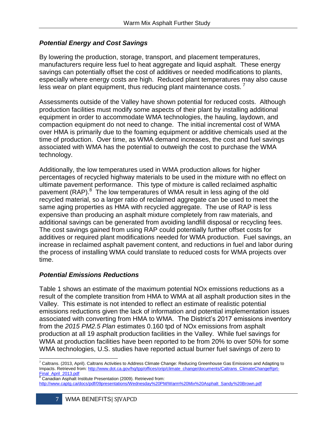#### *Potential Energy and Cost Savings*

By lowering the production, storage, transport, and placement temperatures, manufacturers require less fuel to heat aggregate and liquid asphalt. These energy savings can potentially offset the cost of additives or needed modifications to plants, especially where energy costs are high. Reduced plant temperatures may also cause less wear on plant equipment, thus reducing plant maintenance costs.<sup>7</sup>

Assessments outside of the Valley have shown potential for reduced costs. Although production facilities must modify some aspects of their plant by installing additional equipment in order to accommodate WMA technologies, the hauling, laydown, and compaction equipment do not need to change. The initial incremental cost of WMA over HMA is primarily due to the foaming equipment or additive chemicals used at the time of production. Over time, as WMA demand increases, the cost and fuel savings associated with WMA has the potential to outweigh the cost to purchase the WMA technology.

Additionally, the low temperatures used in WMA production allows for higher percentages of recycled highway materials to be used in the mixture with no effect on ultimate pavement performance. This type of mixture is called reclaimed asphaltic pavement (RAP).<sup>8</sup> The low temperatures of WMA result in less aging of the old recycled material, so a larger ratio of reclaimed aggregate can be used to meet the same aging properties as HMA with recycled aggregate. The use of RAP is less expensive than producing an asphalt mixture completely from raw materials, and additional savings can be generated from avoiding landfill disposal or recycling fees. The cost savings gained from using RAP could potentially further offset costs for additives or required plant modifications needed for WMA production. Fuel savings, an increase in reclaimed asphalt pavement content, and reductions in fuel and labor during the process of installing WMA could translate to reduced costs for WMA projects over time.

#### *Potential Emissions Reductions*

Table 1 shows an estimate of the maximum potential NOx emissions reductions as a result of the complete transition from HMA to WMA at all asphalt production sites in the Valley. This estimate is not intended to reflect an estimate of realistic potential emissions reductions given the lack of information and potential implementation issues associated with converting from HMA to WMA. The District's 2017 emissions inventory from the *2015 PM2.5 Plan* estimates 0.160 tpd of NOx emissions from asphalt production at all 19 asphalt production facilities in the Valley. While fuel savings for WMA at production facilities have been reported to be from 20% to over 50% for some WMA technologies, U.S. studies have reported actual burner fuel savings of zero to

l  $^7$  Caltrans. (2013, April). Caltrans Activities to Address Climate Change: Reducing Greenhouse Gas Emissions and Adapting to Impacts. Retrieved from[: http://www.dot.ca.gov/hq/tpp/offices/orip/climate\\_change/documents/Caltrans\\_ClimateChangeRprt-](http://www.dot.ca.gov/hq/tpp/offices/orip/climate_change/documents/Caltrans_ClimateChangeRprt-Final_April_2013.pdf)[Final\\_April\\_2013.pdf](http://www.dot.ca.gov/hq/tpp/offices/orip/climate_change/documents/Caltrans_ClimateChangeRprt-Final_April_2013.pdf)

<sup>8</sup> Canadian Asphalt Institute Presentation (2009). Retrieved from:

[http://www.captg.ca/docs/pdf/09presentations/Wednesday%20PM/Warm%20Mix%20Asphalt\\_Sandy%20Brown.pdf](http://www.captg.ca/docs/pdf/09presentations/Wednesday%20PM/Warm%20Mix%20Asphalt_Sandy%20Brown.pdf)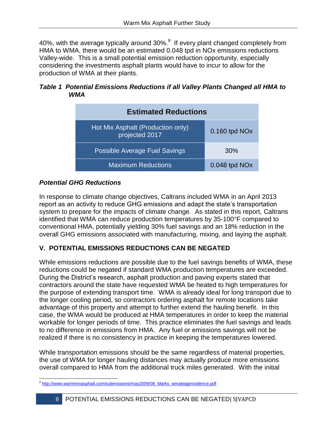40%, with the average typically around  $30\%$ . If every plant changed completely from HMA to WMA, there would be an estimated 0.048 tpd in NOx emissions reductions Valley-wide. This is a small potential emission reduction opportunity, especially considering the investments asphalt plants would have to incur to allow for the production of WMA at their plants.

#### *Table 1 Potential Emissions Reductions if all Valley Plants Changed all HMA to WMA*



# *Potential GHG Reductions*

In response to climate change objectives, Caltrans included WMA in an April 2013 report as an activity to reduce GHG emissions and adapt the state's transportation system to prepare for the impacts of climate change. As stated in this report, Caltrans identified that WMA can reduce production temperatures by 35-100°F compared to conventional HMA, potentially yielding 30% fuel savings and an 18% reduction in the overall GHG emissions associated with manufacturing, mixing, and laying the asphalt.

# **V. POTENTIAL EMISSIONS REDUCTIONS CAN BE NEGATED**

While emissions reductions are possible due to the fuel savings benefits of WMA, these reductions could be negated if standard WMA production temperatures are exceeded. During the District's research, asphalt production and paving experts stated that contractors around the state have requested WMA be heated to high temperatures for the purpose of extending transport time. WMA is already ideal for long transport due to the longer cooling period, so contractors ordering asphalt for remote locations take advantage of this property and attempt to further extend the hauling benefit. In this case, the WMA would be produced at HMA temperatures in order to keep the material workable for longer periods of time. This practice eliminates the fuel savings and leads to no difference in emissions from HMA. Any fuel or emissions savings will not be realized if there is no consistency in practice in keeping the temperatures lowered.

While transportation emissions should be the same regardless of material properties, the use of WMA for longer hauling distances may actually produce more emissions overall compared to HMA from the additional truck miles generated. With the initial

 $\overline{\phantom{0}}$ <sup>9</sup> [http://www.warmmixasphalt.com/submissions/may2009/08\\_Marks\\_wmatwgprovidence.pdf](http://www.warmmixasphalt.com/submissions/may2009/08_Marks_wmatwgprovidence.pdf)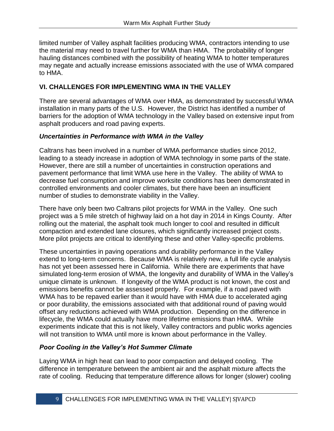limited number of Valley asphalt facilities producing WMA, contractors intending to use the material may need to travel further for WMA than HMA. The probability of longer hauling distances combined with the possibility of heating WMA to hotter temperatures may negate and actually increase emissions associated with the use of WMA compared to HMA.

## **VI. CHALLENGES FOR IMPLEMENTING WMA IN THE VALLEY**

There are several advantages of WMA over HMA, as demonstrated by successful WMA installation in many parts of the U.S. However, the District has identified a number of barriers for the adoption of WMA technology in the Valley based on extensive input from asphalt producers and road paving experts.

### *Uncertainties in Performance with WMA in the Valley*

Caltrans has been involved in a number of WMA performance studies since 2012, leading to a steady increase in adoption of WMA technology in some parts of the state. However, there are still a number of uncertainties in construction operations and pavement performance that limit WMA use here in the Valley. The ability of WMA to decrease fuel consumption and improve worksite conditions has been demonstrated in controlled environments and cooler climates, but there have been an insufficient number of studies to demonstrate viability in the Valley.

There have only been two Caltrans pilot projects for WMA in the Valley. One such project was a 5 mile stretch of highway laid on a hot day in 2014 in Kings County. After rolling out the material, the asphalt took much longer to cool and resulted in difficult compaction and extended lane closures, which significantly increased project costs. More pilot projects are critical to identifying these and other Valley-specific problems.

These uncertainties in paving operations and durability performance in the Valley extend to long-term concerns. Because WMA is relatively new, a full life cycle analysis has not yet been assessed here in California. While there are experiments that have simulated long-term erosion of WMA, the longevity and durability of WMA in the Valley's unique climate is unknown. If longevity of the WMA product is not known, the cost and emissions benefits cannot be assessed properly. For example, if a road paved with WMA has to be repaved earlier than it would have with HMA due to accelerated aging or poor durability, the emissions associated with that additional round of paving would offset any reductions achieved with WMA production. Depending on the difference in lifecycle, the WMA could actually have more lifetime emissions than HMA. While experiments indicate that this is not likely, Valley contractors and public works agencies will not transition to WMA until more is known about performance in the Valley.

## *Poor Cooling in the Valley's Hot Summer Climate*

Laying WMA in high heat can lead to poor compaction and delayed cooling. The difference in temperature between the ambient air and the asphalt mixture affects the rate of cooling. Reducing that temperature difference allows for longer (slower) cooling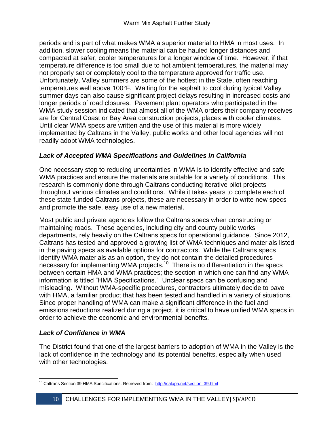periods and is part of what makes WMA a superior material to HMA in most uses. In addition, slower cooling means the material can be hauled longer distances and compacted at safer, cooler temperatures for a longer window of time. However, if that temperature difference is too small due to hot ambient temperatures, the material may not properly set or completely cool to the temperature approved for traffic use. Unfortunately, Valley summers are some of the hottest in the State, often reaching temperatures well above 100°F. Waiting for the asphalt to cool during typical Valley summer days can also cause significant project delays resulting in increased costs and longer periods of road closures. Pavement plant operators who participated in the WMA study session indicated that almost all of the WMA orders their company receives are for Central Coast or Bay Area construction projects, places with cooler climates. Until clear WMA specs are written and the use of this material is more widely implemented by Caltrans in the Valley, public works and other local agencies will not readily adopt WMA technologies.

### *Lack of Accepted WMA Specifications and Guidelines in California*

One necessary step to reducing uncertainties in WMA is to identify effective and safe WMA practices and ensure the materials are suitable for a variety of conditions. This research is commonly done through Caltrans conducting iterative pilot projects throughout various climates and conditions. While it takes years to complete each of these state-funded Caltrans projects, these are necessary in order to write new specs and promote the safe, easy use of a new material.

Most public and private agencies follow the Caltrans specs when constructing or maintaining roads. These agencies, including city and county public works departments, rely heavily on the Caltrans specs for operational guidance. Since 2012, Caltrans has tested and approved a growing list of WMA techniques and materials listed in the paving specs as available options for contractors. While the Caltrans specs identify WMA materials as an option, they do not contain the detailed procedures necessary for implementing WMA projects.<sup>10</sup> There is no differentiation in the specs between certain HMA and WMA practices; the section in which one can find any WMA information is titled "HMA Specifications." Unclear specs can be confusing and misleading. Without WMA-specific procedures, contractors ultimately decide to pave with HMA, a familiar product that has been tested and handled in a variety of situations. Since proper handling of WMA can make a significant difference in the fuel and emissions reductions realized during a project, it is critical to have unified WMA specs in order to achieve the economic and environmental benefits.

#### *Lack of Confidence in WMA*

The District found that one of the largest barriers to adoption of WMA in the Valley is the lack of confidence in the technology and its potential benefits, especially when used with other technologies.

 $\overline{\phantom{0}}$ <sup>10</sup> Caltrans Section 39 HMA Specifications. Retrieved from: [http://calapa.net/section\\_39.html](http://calapa.net/section_39.html)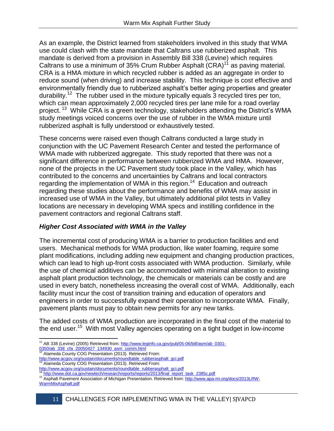As an example, the District learned from stakeholders involved in this study that WMA use could clash with the state mandate that Caltrans use rubberized asphalt. This mandate is derived from a provision in Assembly Bill 338 (Levine) which requires Caltrans to use a minimum of 35% Crum Rubber Asphalt  $(CRA)^{11}$  as paving material. CRA is a HMA mixture in which recycled rubber is added as an aggregate in order to reduce sound (when driving) and increase stability. This technique is cost effective and environmentally friendly due to rubberized asphalt's better aging properties and greater durability.<sup>12</sup> The rubber used in the mixture typically equals 3 recycled tires per ton, which can mean approximately 2,000 recycled tires per lane mile for a road overlay project.<sup>13</sup> While CRA is a green technology, stakeholders attending the District's WMA study meetings voiced concerns over the use of rubber in the WMA mixture until rubberized asphalt is fully understood or exhaustively tested.

These concerns were raised even though Caltrans conducted a large study in conjunction with the UC Pavement Research Center and tested the performance of WMA made with rubberized aggregate. This study reported that there was not a significant difference in performance between rubberized WMA and HMA. However, none of the projects in the UC Pavement study took place in the Valley, which has contributed to the concerns and uncertainties by Caltrans and local contractors regarding the implementation of WMA in this region.<sup>14</sup> Education and outreach regarding these studies about the performance and benefits of WMA may assist in increased use of WMA in the Valley, but ultimately additional pilot tests in Valley locations are necessary in developing WMA specs and instilling confidence in the pavement contractors and regional Caltrans staff.

## *Higher Cost Associated with WMA in the Valley*

The incremental cost of producing WMA is a barrier to production facilities and end users. Mechanical methods for WMA production, like water foaming, require some plant modifications, including adding new equipment and changing production practices, which can lead to high up-front costs associated with WMA production. Similarly, while the use of chemical additives can be accommodated with minimal alteration to existing asphalt plant production technology, the chemicals or materials can be costly and are used in every batch, nonetheless increasing the overall cost of WMA. Additionally, each facility must incur the cost of transition training and education of operators and engineers in order to successfully expand their operation to incorporate WMA. Finally, pavement plants must pay to obtain new permits for any new tanks.

The added costs of WMA production are incorporated in the final cost of the material to the end user.<sup>15</sup> With most Valley agencies operating on a tight budget in low-income

[http://www.acgov.org/sustain/documents/roundtable\\_rubberasphalt\\_gci.pdf](http://www.acgov.org/sustain/documents/roundtable_rubberasphalt_gci.pdf)<br><sup>13</sup> Alamoda County COC Prosectation (2012). Retained the sub-Alameda County COG Presentation (2013). Retrieved From:

<sup>15</sup> Asphalt Pavement Association of Michigan Presentation. Retrieved from[: http://www.apa-mi.org/docs/2013LRW-](http://www.apa-mi.org/docs/2013LRW-WarmMixAsphalt.pdf)[WarmMixAsphalt.pdf](http://www.apa-mi.org/docs/2013LRW-WarmMixAsphalt.pdf)

 $\overline{\phantom{0}}$ <sup>11</sup> AB 338 (Levine) (2005) Retrieved from[: http://www.leginfo.ca.gov/pub/05-06/bill/asm/ab\\_0301-](http://www.leginfo.ca.gov/pub/05-06/bill/asm/ab_0301-0350/ab_338_cfa_20050427_134930_asm_comm.html) [0350/ab\\_338\\_cfa\\_20050427\\_134930\\_asm\\_comm.html](http://www.leginfo.ca.gov/pub/05-06/bill/asm/ab_0301-0350/ab_338_cfa_20050427_134930_asm_comm.html)<br><sup>12</sup> Alamode Count: 0.000427\_134930\_asm\_comm.html

Alameda County COG Presentation (2013). Retrieved From:

[http://www.acgov.org/sustain/documents/roundtable\\_rubberasphalt\\_gci.pdf](http://www.acgov.org/sustain/documents/roundtable_rubberasphalt_gci.pdf)

[http://www.dot.ca.gov/newtech/researchreports/reports/2013/final\\_report\\_task\\_2385c.pdf](http://www.dot.ca.gov/newtech/researchreports/reports/2013/final_report_task_2385c.pdf)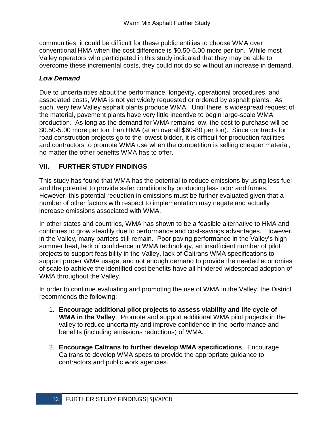communities, it could be difficult for these public entities to choose WMA over conventional HMA when the cost difference is \$0.50-5.00 more per ton. While most Valley operators who participated in this study indicated that they may be able to overcome these incremental costs, they could not do so without an increase in demand.

#### *Low Demand*

Due to uncertainties about the performance, longevity, operational procedures, and associated costs, WMA is not yet widely requested or ordered by asphalt plants. As such, very few Valley asphalt plants produce WMA. Until there is widespread request of the material, pavement plants have very little incentive to begin large-scale WMA production. As long as the demand for WMA remains low, the cost to purchase will be \$0.50-5.00 more per ton than HMA (at an overall \$60-80 per ton). Since contracts for road construction projects go to the lowest bidder, it is difficult for production facilities and contractors to promote WMA use when the competition is selling cheaper material, no matter the other benefits WMA has to offer.

## **VII. FURTHER STUDY FINDINGS**

This study has found that WMA has the potential to reduce emissions by using less fuel and the potential to provide safer conditions by producing less odor and fumes. However, this potential reduction in emissions must be further evaluated given that a number of other factors with respect to implementation may negate and actually increase emissions associated with WMA.

In other states and countries, WMA has shown to be a feasible alternative to HMA and continues to grow steadily due to performance and cost-savings advantages. However, in the Valley, many barriers still remain. Poor paving performance in the Valley's high summer heat, lack of confidence in WMA technology, an insufficient number of pilot projects to support feasibility in the Valley, lack of Caltrans WMA specifications to support proper WMA usage, and not enough demand to provide the needed economies of scale to achieve the identified cost benefits have all hindered widespread adoption of WMA throughout the Valley.

In order to continue evaluating and promoting the use of WMA in the Valley, the District recommends the following:

- 1. **Encourage additional pilot projects to assess viability and life cycle of WMA in the Valley**. Promote and support additional WMA pilot projects in the valley to reduce uncertainty and improve confidence in the performance and benefits (including emissions reductions) of WMA.
- 2. **Encourage Caltrans to further develop WMA specifications**. Encourage Caltrans to develop WMA specs to provide the appropriate guidance to contractors and public work agencies.